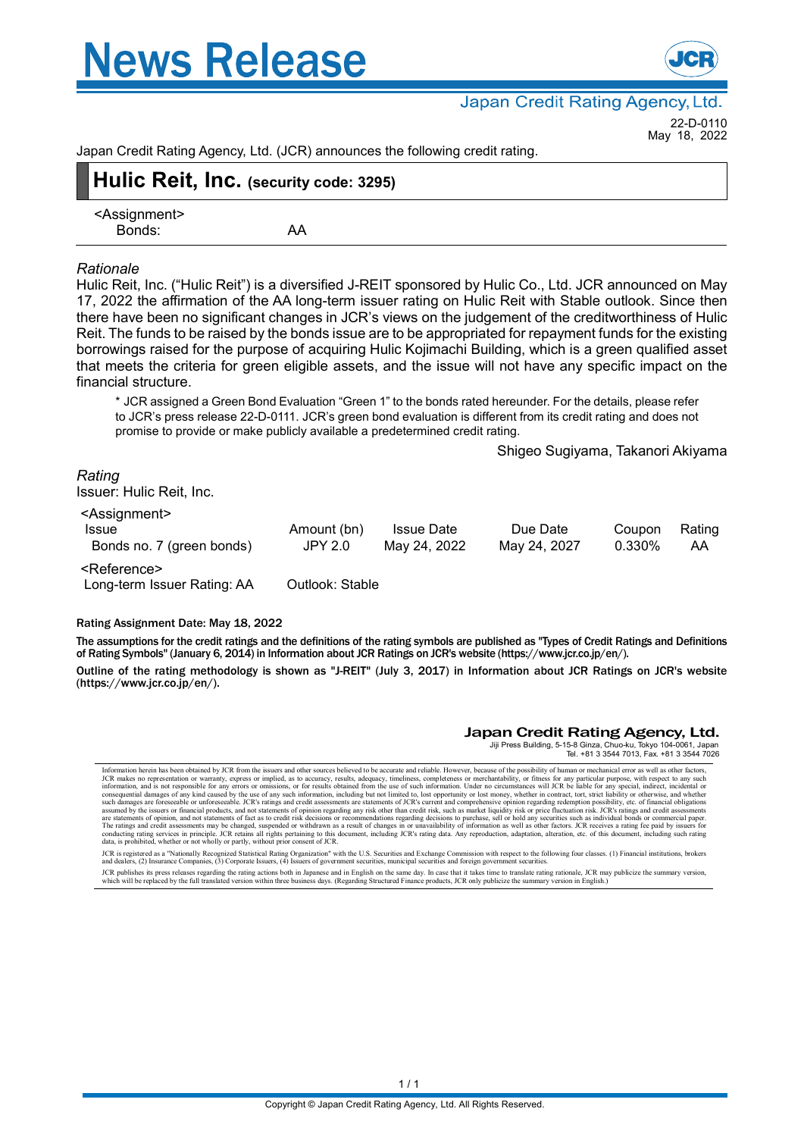



Japan Credit Rating Agency, Ltd.

22-D-0110 May 18, 2022

Japan Credit Rating Agency, Ltd. (JCR) announces the following credit rating.

| Hulic Reit, Inc. (security code: 3295) |    |  |  |  |  |
|----------------------------------------|----|--|--|--|--|
| <assignment><br/>Bonds:</assignment>   | AA |  |  |  |  |

#### *Rationale*

Hulic Reit, Inc. ("Hulic Reit") is a diversified J-REIT sponsored by Hulic Co., Ltd. JCR announced on May 17, 2022 the affirmation of the AA long-term issuer rating on Hulic Reit with Stable outlook. Since then there have been no significant changes in JCR's views on the judgement of the creditworthiness of Hulic Reit. The funds to be raised by the bonds issue are to be appropriated for repayment funds for the existing borrowings raised for the purpose of acquiring Hulic Kojimachi Building, which is a green qualified asset that meets the criteria for green eligible assets, and the issue will not have any specific impact on the financial structure.

\* JCR assigned a Green Bond Evaluation "Green 1" to the bonds rated hereunder. For the details, please refer to JCR's press release 22-D-0111. JCR's green bond evaluation is different from its credit rating and does not promise to provide or make publicly available a predetermined credit rating.

Shigeo Sugiyama, Takanori Akiyama

#### *Rating*

Issuer: Hulic Reit, Inc.

| <assignment></assignment>   |                 |                   |              |        |        |  |
|-----------------------------|-----------------|-------------------|--------------|--------|--------|--|
| Issue                       | Amount (bn)     | <b>Issue Date</b> | Due Date     | Coupon | Rating |  |
| Bonds no. 7 (green bonds)   | JPY 2.0         | May 24, 2022      | May 24, 2027 | 0.330% | AA     |  |
| <reference></reference>     |                 |                   |              |        |        |  |
| Long-term Issuer Rating: AA | Outlook: Stable |                   |              |        |        |  |

#### Rating Assignment Date: May 18, 2022

The assumptions for the credit ratings and the definitions of the rating symbols are published as "Types of Credit Ratings and Definitions of Rating Symbols" (January 6, 2014) in Information about JCR Ratings on JCR's website (https://www.jcr.co.jp/en/).

Outline of the rating methodology is shown as "J-REIT" (July 3, 2017) in Information about JCR Ratings on JCR's website (https://www.jcr.co.jp/en/).

#### Japan Credit Rating Agency, Ltd.

Jiji Press Building, 5-15-8 Ginza, Chuo-ku, Tokyo 104-0061, Japan Tel. +81 3 3544 7013, Fax. +81 3 3544 7026

Information herein has been obtained by JCR from the issuers and other sources believed to be accurate and reliable. However, because of the possibility of human or mechanical error as well as obter factors, including it a

JCR is registered as a "Nationally Recognized Statistical Rating Organization" with the U.S. Securities and Exchange Commission with respect to the following four classes. (1) Financial institutions, brokers<br>and dealers, (

JCR publishes its press releases regarding the rating actions both in Japanese and in English on the same day. In case that it takes time to translate rating rationale, JCR may publicize the summary version.<br>which will be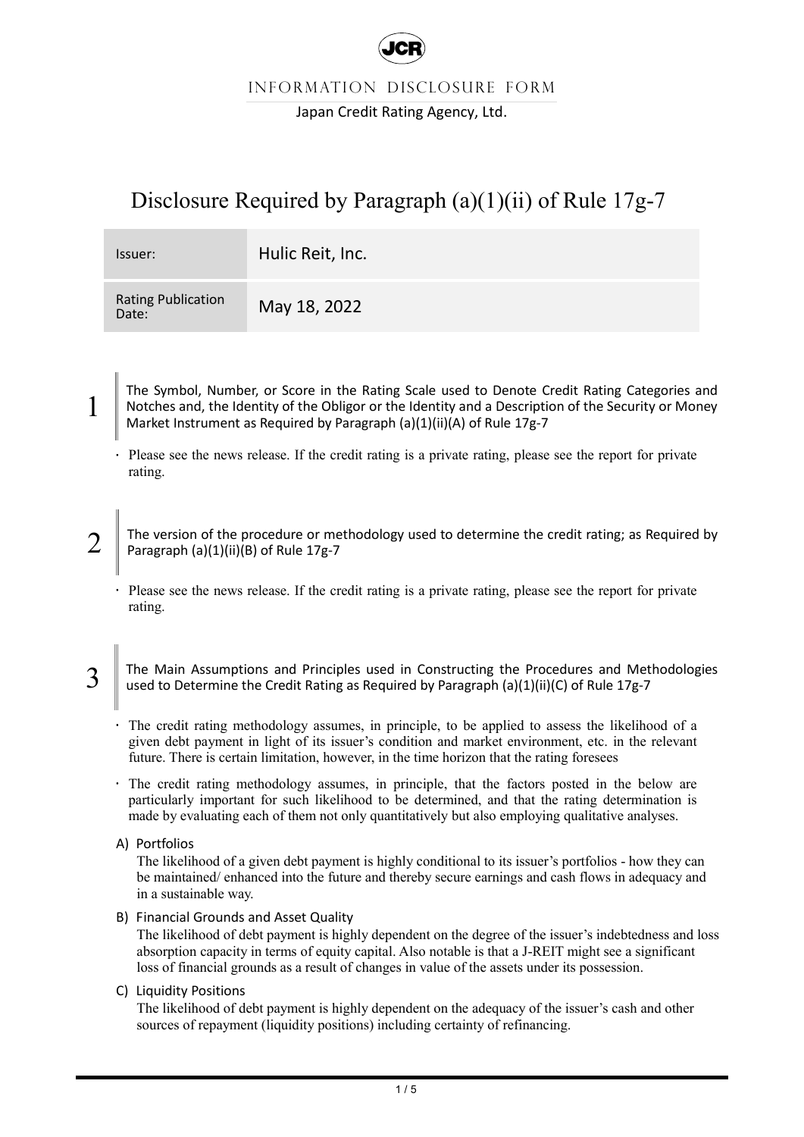

INFORMATION DISCLOSURE FORM

Japan Credit Rating Agency, Ltd.

# Disclosure Required by Paragraph (a)(1)(ii) of Rule 17g-7

| Issuer:                            | Hulic Reit, Inc. |
|------------------------------------|------------------|
| <b>Rating Publication</b><br>Date: | May 18, 2022     |

The Symbol, Number, or Score in the Rating Scale used to Denote Credit Rating Categories and Notches and, the Identity of the Obligor or the Identity and a Description of the Security or Money Market Instrument as Required by Paragraph (a)(1)(ii)(A) of Rule 17g-7

- Please see the news release. If the credit rating is a private rating, please see the report for private rating.
- 2 The version of the procedure or methodology used to determine the credit rating; as Required by Paragraph (a)(1)(ii)(B) of Rule 17g-7
	- Please see the news release. If the credit rating is a private rating, please see the report for private rating.
- 3 The Main Assumptions and Principles used in Constructing the Procedures and Methodologies used to Determine the Credit Rating as Required by Paragraph (a)(1)(ii)(C) of Rule 17g-7
	- The credit rating methodology assumes, in principle, to be applied to assess the likelihood of a given debt payment in light of its issuer's condition and market environment, etc. in the relevant future. There is certain limitation, however, in the time horizon that the rating foresees
	- The credit rating methodology assumes, in principle, that the factors posted in the below are particularly important for such likelihood to be determined, and that the rating determination is made by evaluating each of them not only quantitatively but also employing qualitative analyses.
	- A) Portfolios

1

The likelihood of a given debt payment is highly conditional to its issuer's portfolios - how they can be maintained/ enhanced into the future and thereby secure earnings and cash flows in adequacy and in a sustainable way.

B) Financial Grounds and Asset Quality

The likelihood of debt payment is highly dependent on the degree of the issuer's indebtedness and loss absorption capacity in terms of equity capital. Also notable is that a J-REIT might see a significant loss of financial grounds as a result of changes in value of the assets under its possession.

C) Liquidity Positions

The likelihood of debt payment is highly dependent on the adequacy of the issuer's cash and other sources of repayment (liquidity positions) including certainty of refinancing.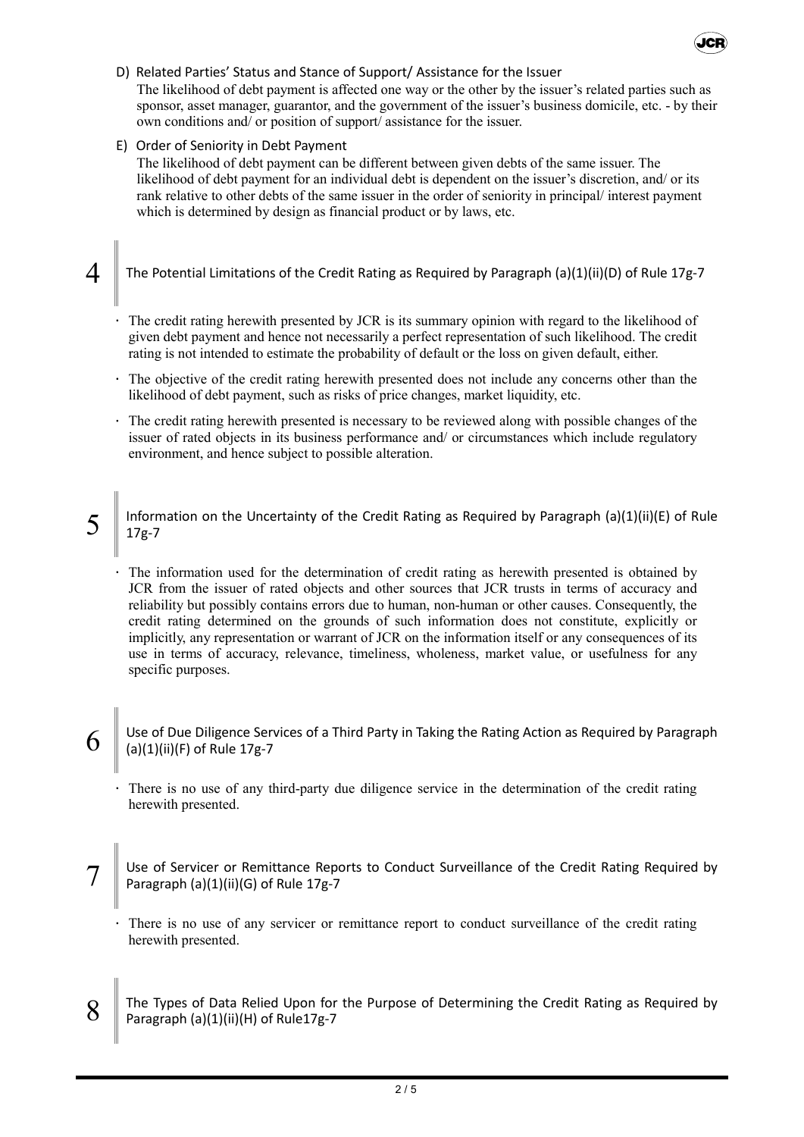## D) Related Parties' Status and Stance of Support/ Assistance for the Issuer

The likelihood of debt payment is affected one way or the other by the issuer's related parties such as sponsor, asset manager, guarantor, and the government of the issuer's business domicile, etc. - by their own conditions and/ or position of support/ assistance for the issuer.

**JCR** 

### E) Order of Seniority in Debt Payment

The likelihood of debt payment can be different between given debts of the same issuer. The likelihood of debt payment for an individual debt is dependent on the issuer's discretion, and/ or its rank relative to other debts of the same issuer in the order of seniority in principal/ interest payment which is determined by design as financial product or by laws, etc.

4 The Potential Limitations of the Credit Rating as Required by Paragraph (a)(1)(ii)(D) of Rule 17g-7

- The credit rating herewith presented by JCR is its summary opinion with regard to the likelihood of given debt payment and hence not necessarily a perfect representation of such likelihood. The credit rating is not intended to estimate the probability of default or the loss on given default, either.
- The objective of the credit rating herewith presented does not include any concerns other than the likelihood of debt payment, such as risks of price changes, market liquidity, etc.
- The credit rating herewith presented is necessary to be reviewed along with possible changes of the issuer of rated objects in its business performance and/ or circumstances which include regulatory environment, and hence subject to possible alteration.
- 5 Information on the Uncertainty of the Credit Rating as Required by Paragraph (a)(1)(ii)(E) of Rule 17g-7

The information used for the determination of credit rating as herewith presented is obtained by JCR from the issuer of rated objects and other sources that JCR trusts in terms of accuracy and reliability but possibly contains errors due to human, non-human or other causes. Consequently, the credit rating determined on the grounds of such information does not constitute, explicitly or implicitly, any representation or warrant of JCR on the information itself or any consequences of its use in terms of accuracy, relevance, timeliness, wholeness, market value, or usefulness for any specific purposes.

- 6 Use of Due Diligence Services of a Third Party in Taking the Rating Action as Required by Paragraph (a)(1)(ii)(F) of Rule 17g-7
	- There is no use of any third-party due diligence service in the determination of the credit rating herewith presented.
- 7 Use of Servicer or Remittance Reports to Conduct Surveillance of the Credit Rating Required by Paragraph (a)(1)(ii)(G) of Rule 17g-7
	- There is no use of any servicer or remittance report to conduct surveillance of the credit rating herewith presented.
- 8 The Types of Data Relied Upon for the Purpose of Determining the Credit Rating as Required by Paragraph (a)(1)(ii)(H) of Rule17g-7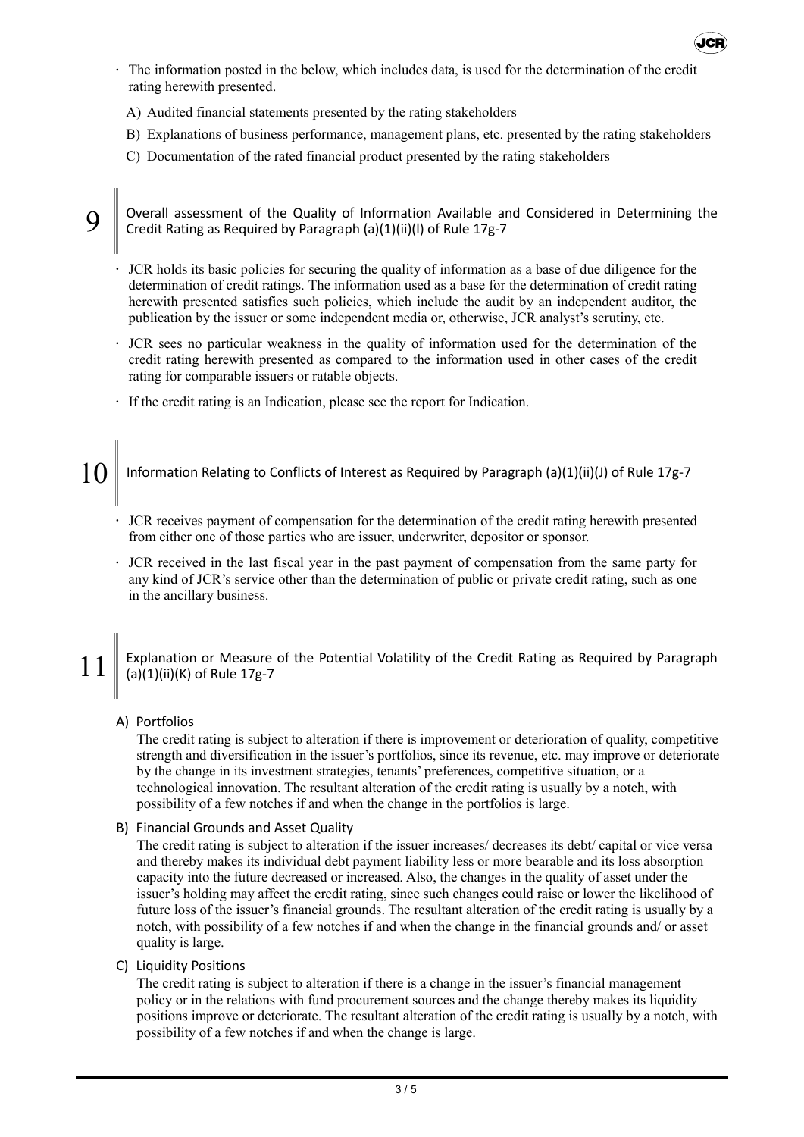

- The information posted in the below, which includes data, is used for the determination of the credit rating herewith presented.
	- A) Audited financial statements presented by the rating stakeholders
	- B) Explanations of business performance, management plans, etc. presented by the rating stakeholders
	- C) Documentation of the rated financial product presented by the rating stakeholders

9 Overall assessment of the Quality of Information Available and Considered in Determining the Credit Rating as Required by Paragraph (a)(1)(ii)(l) of Rule 17g-7

- JCR holds its basic policies for securing the quality of information as a base of due diligence for the determination of credit ratings. The information used as a base for the determination of credit rating herewith presented satisfies such policies, which include the audit by an independent auditor, the publication by the issuer or some independent media or, otherwise, JCR analyst's scrutiny, etc.
- JCR sees no particular weakness in the quality of information used for the determination of the credit rating herewith presented as compared to the information used in other cases of the credit rating for comparable issuers or ratable objects.
- If the credit rating is an Indication, please see the report for Indication.

|| Information Relating to Conflicts of Interest as Required by Paragraph (a)(1)(ii)(J) of Rule 17g-7

- JCR receives payment of compensation for the determination of the credit rating herewith presented from either one of those parties who are issuer, underwriter, depositor or sponsor.
- JCR received in the last fiscal year in the past payment of compensation from the same party for any kind of JCR's service other than the determination of public or private credit rating, such as one in the ancillary business.

11 Explanation or Measure of the Potential Volatility of the Credit Rating as Required by Paragraph (a)(1)(ii)(K) of Rule 17g-7

#### A) Portfolios

The credit rating is subject to alteration if there is improvement or deterioration of quality, competitive strength and diversification in the issuer's portfolios, since its revenue, etc. may improve or deteriorate by the change in its investment strategies, tenants' preferences, competitive situation, or a technological innovation. The resultant alteration of the credit rating is usually by a notch, with possibility of a few notches if and when the change in the portfolios is large.

B) Financial Grounds and Asset Quality

The credit rating is subject to alteration if the issuer increases/ decreases its debt/ capital or vice versa and thereby makes its individual debt payment liability less or more bearable and its loss absorption capacity into the future decreased or increased. Also, the changes in the quality of asset under the issuer's holding may affect the credit rating, since such changes could raise or lower the likelihood of future loss of the issuer's financial grounds. The resultant alteration of the credit rating is usually by a notch, with possibility of a few notches if and when the change in the financial grounds and/ or asset quality is large.

C) Liquidity Positions

The credit rating is subject to alteration if there is a change in the issuer's financial management policy or in the relations with fund procurement sources and the change thereby makes its liquidity positions improve or deteriorate. The resultant alteration of the credit rating is usually by a notch, with possibility of a few notches if and when the change is large.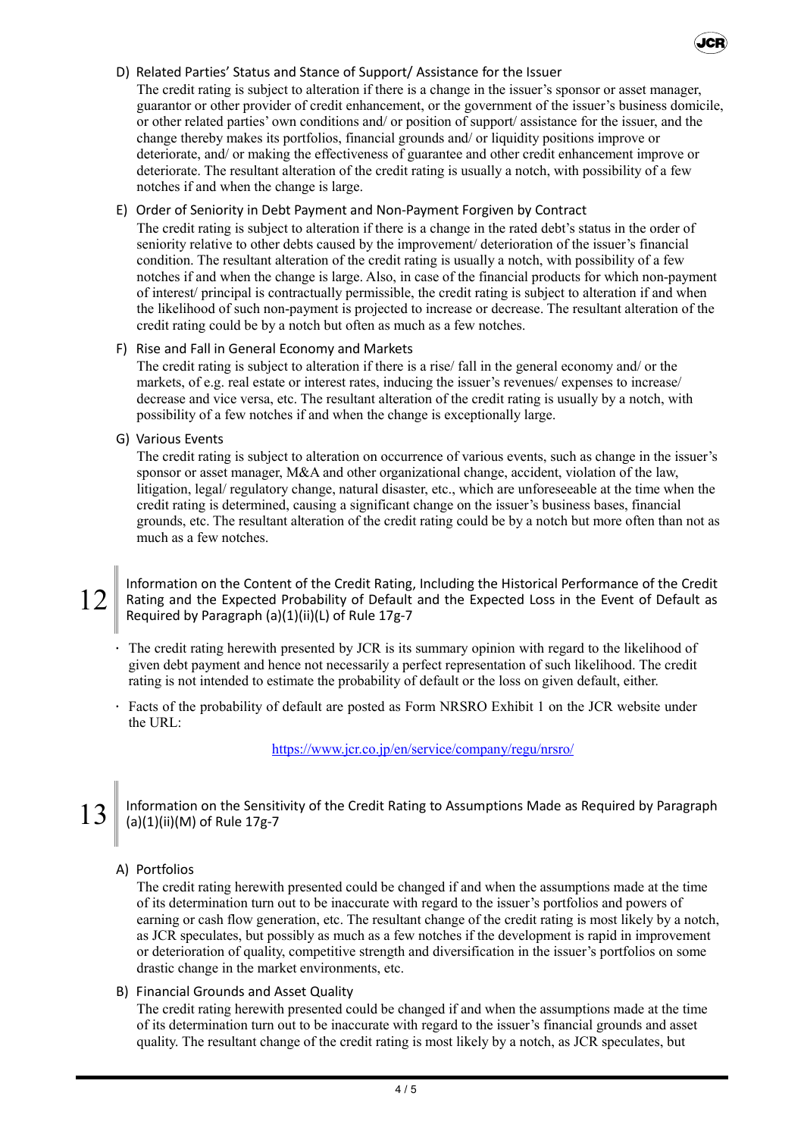### D) Related Parties' Status and Stance of Support/ Assistance for the Issuer

The credit rating is subject to alteration if there is a change in the issuer's sponsor or asset manager, guarantor or other provider of credit enhancement, or the government of the issuer's business domicile, or other related parties' own conditions and/ or position of support/ assistance for the issuer, and the change thereby makes its portfolios, financial grounds and/ or liquidity positions improve or deteriorate, and/ or making the effectiveness of guarantee and other credit enhancement improve or deteriorate. The resultant alteration of the credit rating is usually a notch, with possibility of a few notches if and when the change is large.

Jep

#### E) Order of Seniority in Debt Payment and Non-Payment Forgiven by Contract

The credit rating is subject to alteration if there is a change in the rated debt's status in the order of seniority relative to other debts caused by the improvement/ deterioration of the issuer's financial condition. The resultant alteration of the credit rating is usually a notch, with possibility of a few notches if and when the change is large. Also, in case of the financial products for which non-payment of interest/ principal is contractually permissible, the credit rating is subject to alteration if and when the likelihood of such non-payment is projected to increase or decrease. The resultant alteration of the credit rating could be by a notch but often as much as a few notches.

#### F) Rise and Fall in General Economy and Markets

The credit rating is subject to alteration if there is a rise/ fall in the general economy and/ or the markets, of e.g. real estate or interest rates, inducing the issuer's revenues/ expenses to increase/ decrease and vice versa, etc. The resultant alteration of the credit rating is usually by a notch, with possibility of a few notches if and when the change is exceptionally large.

#### G) Various Events

The credit rating is subject to alteration on occurrence of various events, such as change in the issuer's sponsor or asset manager, M&A and other organizational change, accident, violation of the law, litigation, legal/ regulatory change, natural disaster, etc., which are unforeseeable at the time when the credit rating is determined, causing a significant change on the issuer's business bases, financial grounds, etc. The resultant alteration of the credit rating could be by a notch but more often than not as much as a few notches.

Information on the Content of the Credit Rating, Including the Historical Performance of the Credit<br>Rating and the Expected Probability of Default and the Expected Loss in the Event of Default as Rating and the Expected Probability of Default and the Expected Loss in the Event of Default as Required by Paragraph (a)(1)(ii)(L) of Rule 17g-7

- The credit rating herewith presented by JCR is its summary opinion with regard to the likelihood of given debt payment and hence not necessarily a perfect representation of such likelihood. The credit rating is not intended to estimate the probability of default or the loss on given default, either.
- Facts of the probability of default are posted as Form NRSRO Exhibit 1 on the JCR website under the URL:

https://www.jcr.co.jp/en/service/company/regu/nrsro/

13 Information on the Sensitivity of the Credit Rating to Assumptions Made as Required by Paragraph (a)(1)(ii)(M) of Rule 17g-7

## A) Portfolios

The credit rating herewith presented could be changed if and when the assumptions made at the time of its determination turn out to be inaccurate with regard to the issuer's portfolios and powers of earning or cash flow generation, etc. The resultant change of the credit rating is most likely by a notch, as JCR speculates, but possibly as much as a few notches if the development is rapid in improvement or deterioration of quality, competitive strength and diversification in the issuer's portfolios on some drastic change in the market environments, etc.

#### B) Financial Grounds and Asset Quality

The credit rating herewith presented could be changed if and when the assumptions made at the time of its determination turn out to be inaccurate with regard to the issuer's financial grounds and asset quality. The resultant change of the credit rating is most likely by a notch, as JCR speculates, but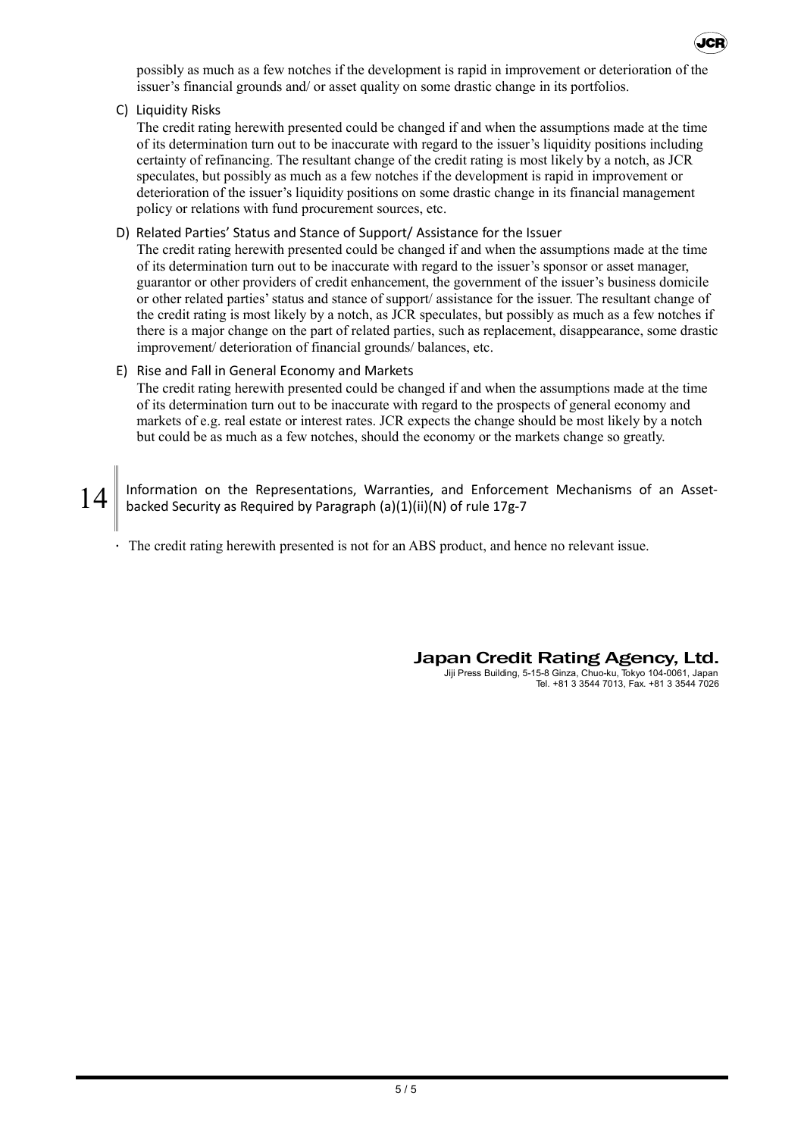

C) Liquidity Risks

The credit rating herewith presented could be changed if and when the assumptions made at the time of its determination turn out to be inaccurate with regard to the issuer's liquidity positions including certainty of refinancing. The resultant change of the credit rating is most likely by a notch, as JCR speculates, but possibly as much as a few notches if the development is rapid in improvement or deterioration of the issuer's liquidity positions on some drastic change in its financial management policy or relations with fund procurement sources, etc.

#### D) Related Parties' Status and Stance of Support/ Assistance for the Issuer

The credit rating herewith presented could be changed if and when the assumptions made at the time of its determination turn out to be inaccurate with regard to the issuer's sponsor or asset manager, guarantor or other providers of credit enhancement, the government of the issuer's business domicile or other related parties'status and stance of support/ assistance for the issuer. The resultant change of the credit rating is most likely by a notch, as JCR speculates, but possibly as much as a few notches if there is a major change on the part of related parties, such as replacement, disappearance, some drastic improvement/ deterioration of financial grounds/ balances, etc.

#### E) Rise and Fall in General Economy and Markets

The credit rating herewith presented could be changed if and when the assumptions made at the time of its determination turn out to be inaccurate with regard to the prospects of general economy and markets of e.g. real estate or interest rates. JCR expects the change should be most likely by a notch but could be as much as a few notches, should the economy or the markets change so greatly.

14 Information on the Representations, Warranties, and Enforcement Mechanisms of an Assetbacked Security as Required by Paragraph (a)(1)(ii)(N) of rule 17g-7

The credit rating herewith presented is not for an ABS product, and hence no relevant issue.

Japan Credit Rating Agency, Ltd. Jiji Press Building, 5-15-8 Ginza, Chuo-ku, Tokyo 104-0061, Japan

Tel. +81 3 3544 7013, Fax. +81 3 3544 7026

.<br>ICE